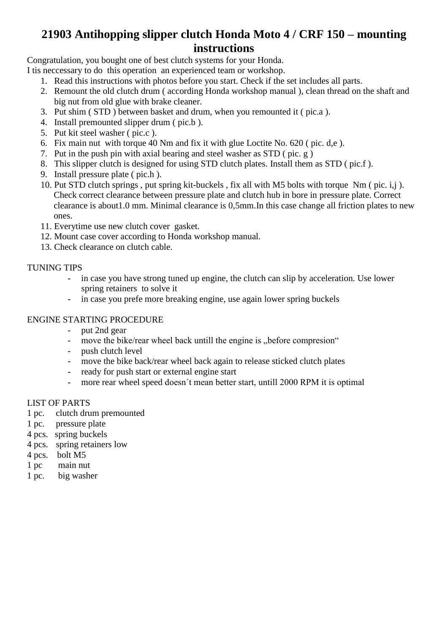### **21903 Antihopping slipper clutch Honda Moto 4 / CRF 150 – mounting instructions**

Congratulation, you bought one of best clutch systems for your Honda.

- I tis neccessary to do this operation an experienced team or workshop.
	- 1. Read this instructions with photos before you start. Check if the set includes all parts.
	- 2. Remount the old clutch drum ( according Honda workshop manual ), clean thread on the shaft and big nut from old glue with brake cleaner.
	- 3. Put shim ( STD ) between basket and drum, when you remounted it ( pic.a ).
	- 4. Install premounted slipper drum ( pic.b ).
	- 5. Put kit steel washer ( pic.c ).
	- 6. Fix main nut with torque 40 Nm and fix it with glue Loctite No. 620 ( pic. d,e ).
	- 7. Put in the push pin with axial bearing and steel washer as STD ( pic. g )
	- 8. This slipper clutch is designed for using STD clutch plates. Install them as STD ( pic.f ).
	- 9. Install pressure plate ( pic.h ).
	- 10. Put STD clutch springs , put spring kit-buckels , fix all with M5 bolts with torque Nm ( pic. i,j ). Check correct clearance between pressure plate and clutch hub in bore in pressure plate. Correct clearance is about1.0 mm. Minimal clearance is 0,5mm.In this case change all friction plates to new ones.
	- 11. Everytime use new clutch cover gasket.
	- 12. Mount case cover according to Honda workshop manual.
	- 13. Check clearance on clutch cable.

### TUNING TIPS

- in case you have strong tuned up engine, the clutch can slip by acceleration. Use lower spring retainers to solve it
- in case you prefe more breaking engine, use again lower spring buckels

### ENGINE STARTING PROCEDURE

- put 2nd gear
- move the bike/rear wheel back untill the engine is "before compresion"
- push clutch level
- move the bike back/rear wheel back again to release sticked clutch plates
- ready for push start or external engine start
- more rear wheel speed doesn't mean better start, untill 2000 RPM it is optimal

#### LIST OF PARTS

- 1 pc. clutch drum premounted
- 1 pc. pressure plate
- 4 pcs. spring buckels
- 4 pcs. spring retainers low
- 4 pcs. bolt M5
- 1 pc main nut
- 1 pc. big washer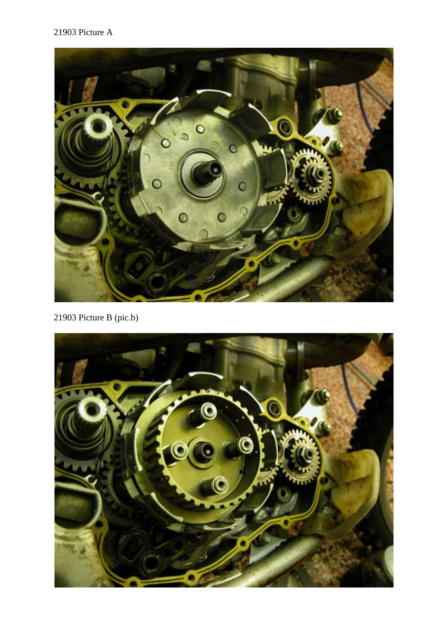### 21903 Picture A



21903 Picture B (pic.b)

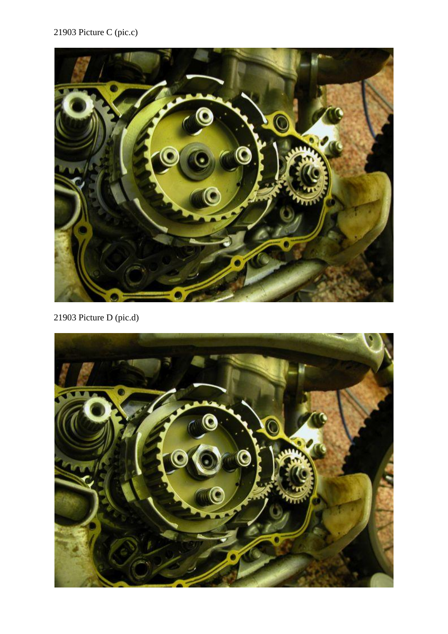## 21903 Picture C (pic.c)



21903 Picture D (pic.d)

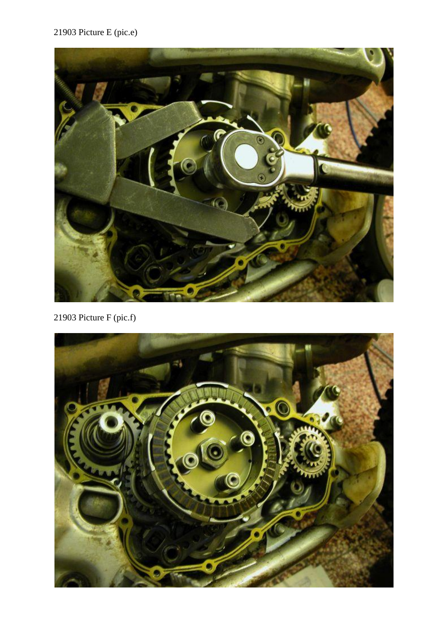## 21903 Picture E (pic.e)



21903 Picture F (pic.f)

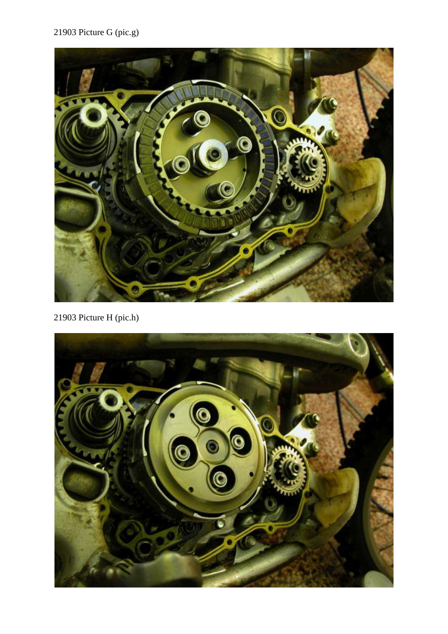# 21903 Picture G (pic.g)



21903 Picture H (pic.h)